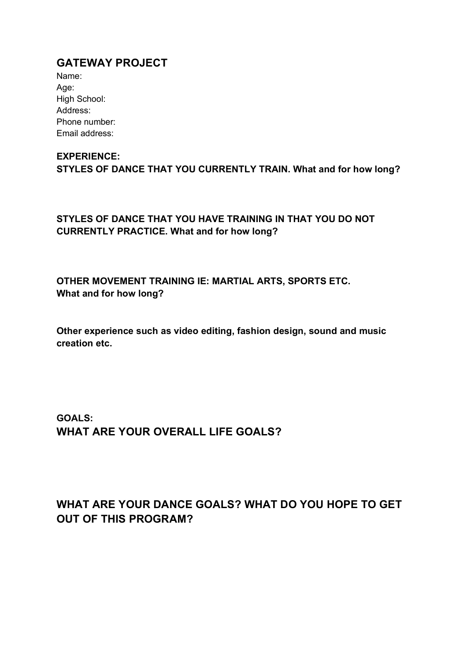## **GATEWAY PROJECT**

| Name:          |
|----------------|
| Age:           |
| High School:   |
| Address:       |
| Phone number:  |
| Email address: |

## **EXPERIENCE:**

**STYLES OF DANCE THAT YOU CURRENTLY TRAIN. What and for how long?**

**STYLES OF DANCE THAT YOU HAVE TRAINING IN THAT YOU DO NOT CURRENTLY PRACTICE. What and for how long?**

**OTHER MOVEMENT TRAINING IE: MARTIAL ARTS, SPORTS ETC. What and for how long?**

**Other experience such as video editing, fashion design, sound and music creation etc.**

**GOALS: WHAT ARE YOUR OVERALL LIFE GOALS?**

## **WHAT ARE YOUR DANCE GOALS? WHAT DO YOU HOPE TO GET OUT OF THIS PROGRAM?**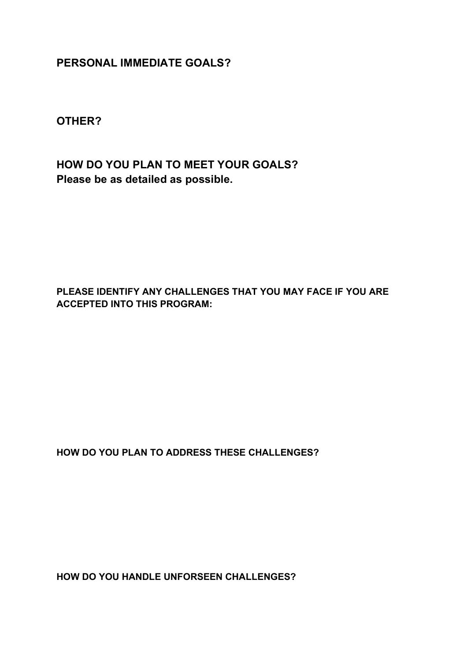**PERSONAL IMMEDIATE GOALS?**

**OTHER?**

**HOW DO YOU PLAN TO MEET YOUR GOALS? Please be as detailed as possible.**

**PLEASE IDENTIFY ANY CHALLENGES THAT YOU MAY FACE IF YOU ARE ACCEPTED INTO THIS PROGRAM:**

**HOW DO YOU PLAN TO ADDRESS THESE CHALLENGES?**

**HOW DO YOU HANDLE UNFORSEEN CHALLENGES?**